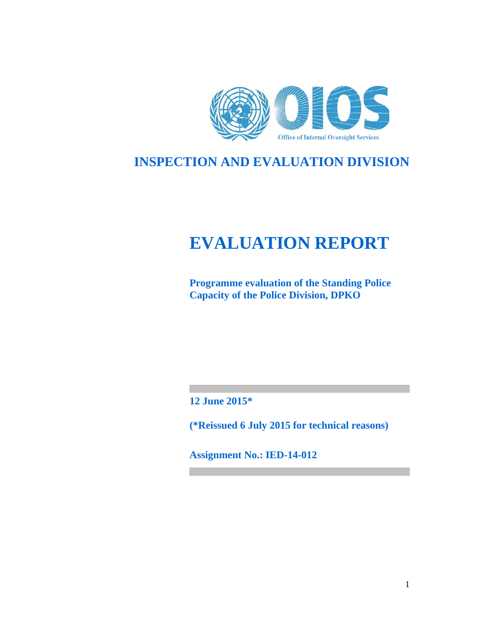

# **INSPECTION AND EVALUATION DIVISION**

# **EVALUATION REPORT**

**Programme evaluation of the Standing Police Capacity of the Police Division, DPKO** 

**12 June 2015\*** 

**(\*Reissued 6 July 2015 for technical reasons)** 

**Assignment No.: IED-14-012**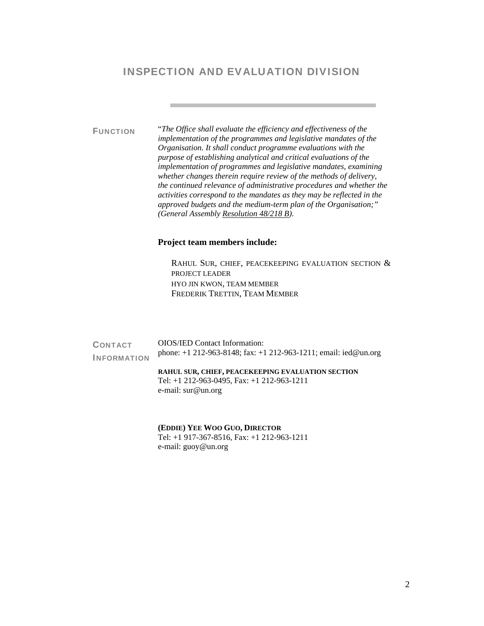### INSPECTION AND EVALUATION DIVISION

FUNCTION "*The Office shall evaluate the efficiency and effectiveness of the implementation of the programmes and legislative mandates of the Organisation. It shall conduct programme evaluations with the purpose of establishing analytical and critical evaluations of the implementation of programmes and legislative mandates, examining whether changes therein require review of the methods of delivery, the continued relevance of administrative procedures and whether the activities correspond to the mandates as they may be reflected in the approved budgets and the medium-term plan of the Organisation;" (General Assembly Resolution 48/218 B).*

#### **Project team members include:**

RAHUL SUR, CHIEF, PEACEKEEPING EVALUATION SECTION & PROJECT LEADER HYO JIN KWON, TEAM MEMBER FREDERIK TRETTIN, TEAM MEMBER

| <b>CONTACT</b>     | OIOS/IED Contact Information:                                                                                                             |  |
|--------------------|-------------------------------------------------------------------------------------------------------------------------------------------|--|
| <b>INFORMATION</b> | phone: +1 212-963-8148; fax: +1 212-963-1211; email: ied@un.org                                                                           |  |
|                    | <b>RAHUL SUR, CHIEF, PEACEKEEPING EVALUATION SECTION</b><br>Tel: $+1$ 212-963-0495, Fax: $+1$ 212-963-1211<br>e-mail: $\text{sur@un.org}$ |  |

**(EDDIE) YEE WOO GUO, DIRECTOR** 

Tel: +1 917-367-8516, Fax: +1 212-963-1211 e-mail: guoy@un.org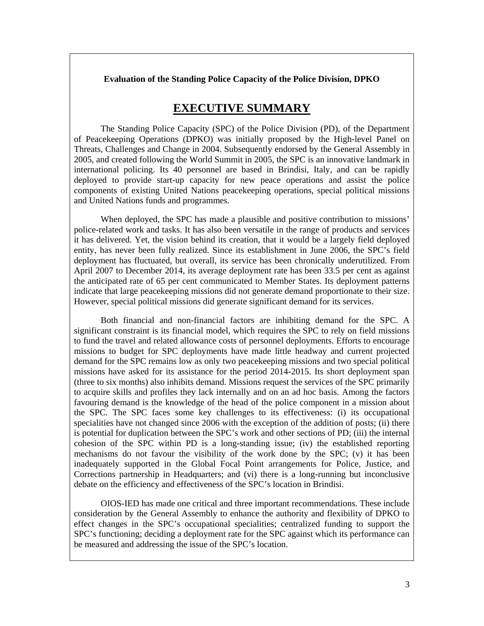**Evaluation of the Standing Police Capacity of the Police Division, DPKO** 

# **EXECUTIVE SUMMARY**

 The Standing Police Capacity (SPC) of the Police Division (PD), of the Department of Peacekeeping Operations (DPKO) was initially proposed by the High-level Panel on Threats, Challenges and Change in 2004. Subsequently endorsed by the General Assembly in 2005, and created following the World Summit in 2005, the SPC is an innovative landmark in international policing. Its 40 personnel are based in Brindisi, Italy, and can be rapidly deployed to provide start-up capacity for new peace operations and assist the police components of existing United Nations peacekeeping operations, special political missions and United Nations funds and programmes.

 When deployed, the SPC has made a plausible and positive contribution to missions' police-related work and tasks. It has also been versatile in the range of products and services it has delivered. Yet, the vision behind its creation, that it would be a largely field deployed entity, has never been fully realized. Since its establishment in June 2006, the SPC's field deployment has fluctuated, but overall, its service has been chronically underutilized. From April 2007 to December 2014, its average deployment rate has been 33.5 per cent as against the anticipated rate of 65 per cent communicated to Member States. Its deployment patterns indicate that large peacekeeping missions did not generate demand proportionate to their size. However, special political missions did generate significant demand for its services.

 Both financial and non-financial factors are inhibiting demand for the SPC. A significant constraint is its financial model, which requires the SPC to rely on field missions to fund the travel and related allowance costs of personnel deployments. Efforts to encourage missions to budget for SPC deployments have made little headway and current projected demand for the SPC remains low as only two peacekeeping missions and two special political missions have asked for its assistance for the period 2014-2015. Its short deployment span (three to six months) also inhibits demand. Missions request the services of the SPC primarily to acquire skills and profiles they lack internally and on an ad hoc basis. Among the factors favouring demand is the knowledge of the head of the police component in a mission about the SPC. The SPC faces some key challenges to its effectiveness: (i) its occupational specialities have not changed since 2006 with the exception of the addition of posts; (ii) there is potential for duplication between the SPC's work and other sections of PD; (iii) the internal cohesion of the SPC within PD is a long-standing issue; (iv) the established reporting mechanisms do not favour the visibility of the work done by the SPC; (v) it has been inadequately supported in the Global Focal Point arrangements for Police, Justice, and Corrections partnership in Headquarters; and (vi) there is a long-running but inconclusive debate on the efficiency and effectiveness of the SPC's location in Brindisi.

 OIOS-IED has made one critical and three important recommendations. These include consideration by the General Assembly to enhance the authority and flexibility of DPKO to effect changes in the SPC's occupational specialities; centralized funding to support the SPC's functioning; deciding a deployment rate for the SPC against which its performance can be measured and addressing the issue of the SPC's location.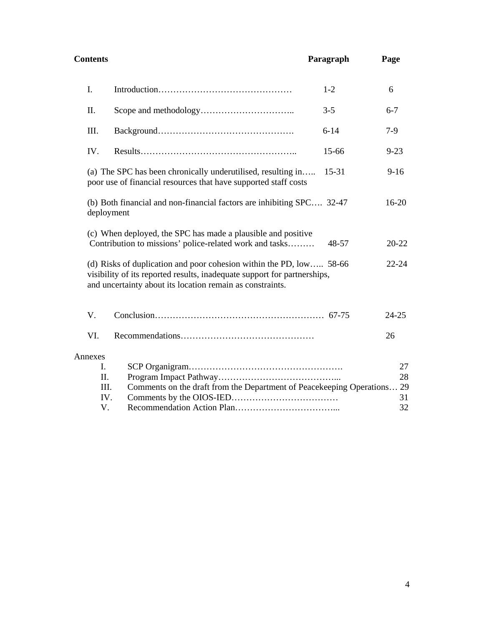| <b>Contents</b>          |                                                                                                                                                                                                              | Paragraph | Page           |
|--------------------------|--------------------------------------------------------------------------------------------------------------------------------------------------------------------------------------------------------------|-----------|----------------|
| I.                       |                                                                                                                                                                                                              | $1-2$     | 6              |
| II.                      |                                                                                                                                                                                                              | $3 - 5$   | $6 - 7$        |
| III.                     |                                                                                                                                                                                                              | $6 - 14$  | $7-9$          |
| IV.                      |                                                                                                                                                                                                              | 15-66     | $9 - 23$       |
|                          | (a) The SPC has been chronically underutilised, resulting in<br>poor use of financial resources that have supported staff costs                                                                              | 15-31     | $9 - 16$       |
| deployment               | (b) Both financial and non-financial factors are inhibiting SPC 32-47                                                                                                                                        |           | $16 - 20$      |
|                          | (c) When deployed, the SPC has made a plausible and positive<br>Contribution to missions' police-related work and tasks                                                                                      | 48-57     | $20 - 22$      |
|                          | (d) Risks of duplication and poor cohesion within the PD, low 58-66<br>visibility of its reported results, inadequate support for partnerships,<br>and uncertainty about its location remain as constraints. |           | $22 - 24$      |
| V.                       |                                                                                                                                                                                                              |           | $24 - 25$      |
| VI.                      |                                                                                                                                                                                                              |           | 26             |
| Annexes                  |                                                                                                                                                                                                              |           |                |
| I.                       |                                                                                                                                                                                                              |           | 27             |
|                          |                                                                                                                                                                                                              |           |                |
|                          |                                                                                                                                                                                                              |           |                |
|                          |                                                                                                                                                                                                              |           |                |
|                          |                                                                                                                                                                                                              |           |                |
| II.<br>III.<br>IV.<br>V. | Comments on the draft from the Department of Peacekeeping Operations 29                                                                                                                                      |           | 28<br>31<br>32 |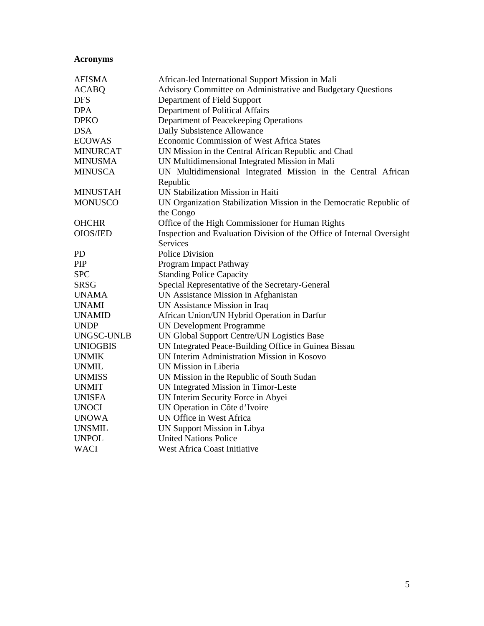# **Acronyms**

| <b>AFISMA</b>   | African-led International Support Mission in Mali                      |  |  |
|-----------------|------------------------------------------------------------------------|--|--|
| <b>ACABQ</b>    | Advisory Committee on Administrative and Budgetary Questions           |  |  |
| <b>DFS</b>      | Department of Field Support                                            |  |  |
| <b>DPA</b>      | Department of Political Affairs                                        |  |  |
| <b>DPKO</b>     | Department of Peacekeeping Operations                                  |  |  |
| <b>DSA</b>      | Daily Subsistence Allowance                                            |  |  |
| <b>ECOWAS</b>   | Economic Commission of West Africa States                              |  |  |
| <b>MINURCAT</b> | UN Mission in the Central African Republic and Chad                    |  |  |
| <b>MINUSMA</b>  | UN Multidimensional Integrated Mission in Mali                         |  |  |
| <b>MINUSCA</b>  | UN Multidimensional Integrated Mission in the Central African          |  |  |
|                 | Republic                                                               |  |  |
| <b>MINUSTAH</b> | UN Stabilization Mission in Haiti                                      |  |  |
| <b>MONUSCO</b>  | UN Organization Stabilization Mission in the Democratic Republic of    |  |  |
|                 | the Congo                                                              |  |  |
| <b>OHCHR</b>    | Office of the High Commissioner for Human Rights                       |  |  |
| <b>OIOS/IED</b> | Inspection and Evaluation Division of the Office of Internal Oversight |  |  |
|                 | <b>Services</b>                                                        |  |  |
| <b>PD</b>       | <b>Police Division</b>                                                 |  |  |
| PIP             | Program Impact Pathway                                                 |  |  |
| <b>SPC</b>      | <b>Standing Police Capacity</b>                                        |  |  |
| <b>SRSG</b>     | Special Representative of the Secretary-General                        |  |  |
| <b>UNAMA</b>    | UN Assistance Mission in Afghanistan                                   |  |  |
| <b>UNAMI</b>    | UN Assistance Mission in Iraq                                          |  |  |
| <b>UNAMID</b>   | African Union/UN Hybrid Operation in Darfur                            |  |  |
| <b>UNDP</b>     | <b>UN Development Programme</b>                                        |  |  |
| UNGSC-UNLB      | UN Global Support Centre/UN Logistics Base                             |  |  |
| <b>UNIOGBIS</b> | UN Integrated Peace-Building Office in Guinea Bissau                   |  |  |
| <b>UNMIK</b>    | UN Interim Administration Mission in Kosovo                            |  |  |
| <b>UNMIL</b>    | UN Mission in Liberia                                                  |  |  |
| <b>UNMISS</b>   | UN Mission in the Republic of South Sudan                              |  |  |
| <b>UNMIT</b>    | UN Integrated Mission in Timor-Leste                                   |  |  |
| <b>UNISFA</b>   | UN Interim Security Force in Abyei                                     |  |  |
| <b>UNOCI</b>    | UN Operation in Côte d'Ivoire                                          |  |  |
| <b>UNOWA</b>    | UN Office in West Africa                                               |  |  |
| <b>UNSMIL</b>   | UN Support Mission in Libya                                            |  |  |
| <b>UNPOL</b>    | <b>United Nations Police</b>                                           |  |  |
| <b>WACI</b>     | <b>West Africa Coast Initiative</b>                                    |  |  |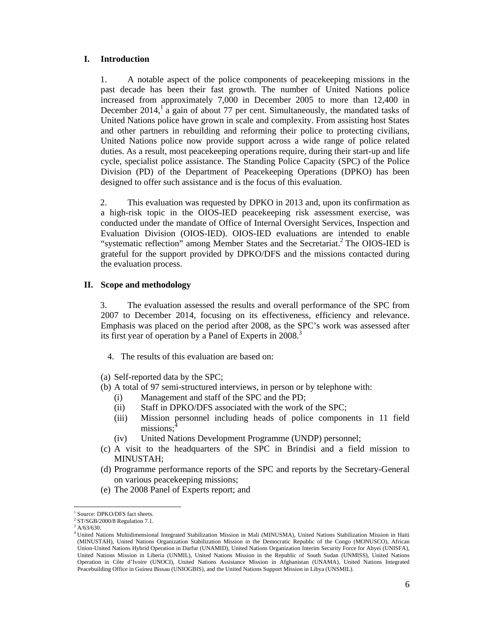#### **I. Introduction**

1. A notable aspect of the police components of peacekeeping missions in the past decade has been their fast growth. The number of United Nations police increased from approximately 7,000 in December 2005 to more than 12,400 in December 2014,<sup>1</sup> a gain of about 77 per cent. Simultaneously, the mandated tasks of United Nations police have grown in scale and complexity. From assisting host States and other partners in rebuilding and reforming their police to protecting civilians, United Nations police now provide support across a wide range of police related duties. As a result, most peacekeeping operations require, during their start-up and life cycle, specialist police assistance. The Standing Police Capacity (SPC) of the Police Division (PD) of the Department of Peacekeeping Operations (DPKO) has been designed to offer such assistance and is the focus of this evaluation.

2. This evaluation was requested by DPKO in 2013 and, upon its confirmation as a high-risk topic in the OIOS-IED peacekeeping risk assessment exercise, was conducted under the mandate of Office of Internal Oversight Services, Inspection and Evaluation Division (OIOS-IED). OIOS-IED evaluations are intended to enable "systematic reflection" among Member States and the Secretariat.<sup>2</sup> The OIOS-IED is grateful for the support provided by DPKO/DFS and the missions contacted during the evaluation process.

#### **II. Scope and methodology**

3. The evaluation assessed the results and overall performance of the SPC from 2007 to December 2014, focusing on its effectiveness, efficiency and relevance. Emphasis was placed on the period after 2008, as the SPC's work was assessed after its first year of operation by a Panel of Experts in 2008.<sup>3</sup>

- 4. The results of this evaluation are based on:
- (a) Self-reported data by the SPC;
- (b) A total of 97 semi-structured interviews, in person or by telephone with:
	- (i) Management and staff of the SPC and the PD;
	- (ii) Staff in DPKO/DFS associated with the work of the SPC;
	- (iii) Mission personnel including heads of police components in 11 field missions:
	- (iv) United Nations Development Programme (UNDP) personnel;
- (c) A visit to the headquarters of the SPC in Brindisi and a field mission to MINUSTAH;
- (d) Programme performance reports of the SPC and reports by the Secretary-General on various peacekeeping missions;
- (e) The 2008 Panel of Experts report; and

 $\overline{a}$ <sup>1</sup> Source: DPKO/DFS fact sheets.

 $2^2$  ST/SGB/2000/8 Regulation 7.1.

 $3^3$  A/63/630.

<sup>4</sup> United Nations Multidimensional Integrated Stabilization Mission in Mali (MINUSMA), United Nations Stabilization Mission in Haiti (MINUSTAH), United Nations Organization Stabilization Mission in the Democratic Republic of the Congo (MONUSCO), African Union-United Nations Hybrid Operation in Darfur (UNAMID), United Nations Organization Interim Security Force for Abyei (UNISFA), United Nations Mission in Liberia (UNMIL), United Nations Mission in the Republic of South Sudan (UNMISS), United Nations Operation in Côte d'Ivoire (UNOCI), United Nations Assistance Mission in Afghanistan (UNAMA), United Nations Integrated Peacebuilding Office in Guinea Bissau (UNIOGBIS), and the United Nations Support Mission in Libya (UNSMIL).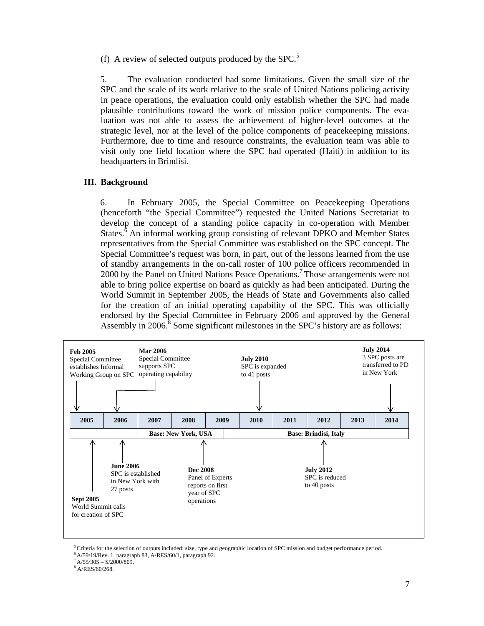(f) A review of selected outputs produced by the SPC.<sup>5</sup>

5. The evaluation conducted had some limitations. Given the small size of the SPC and the scale of its work relative to the scale of United Nations policing activity in peace operations, the evaluation could only establish whether the SPC had made plausible contributions toward the work of mission police components. The evaluation was not able to assess the achievement of higher-level outcomes at the strategic level, nor at the level of the police components of peacekeeping missions. Furthermore, due to time and resource constraints, the evaluation team was able to visit only one field location where the SPC had operated (Haiti) in addition to its headquarters in Brindisi.

#### **III. Background**

6. In February 2005, the Special Committee on Peacekeeping Operations (henceforth "the Special Committee") requested the United Nations Secretariat to develop the concept of a standing police capacity in co-operation with Member States. ${}^{6}$  An informal working group consisting of relevant DPKO and Member States representatives from the Special Committee was established on the SPC concept. The Special Committee's request was born, in part, out of the lessons learned from the use of standby arrangements in the on-call roster of 100 police officers recommended in 2000 by the Panel on United Nations Peace Operations.<sup>7</sup> Those arrangements were not able to bring police expertise on board as quickly as had been anticipated. During the World Summit in September 2005, the Heads of State and Governments also called for the creation of an initial operating capability of the SPC. This was officially endorsed by the Special Committee in February 2006 and approved by the General Assembly in 2006. $8$  Some significant milestones in the SPC's history are as follows:



 ${}^5$ Criteria for the selection of outputs included: size, type and geographic location of SPC mission and budget performance period.

8 A/RES/60/268.

 $6$  A/59/19/Rev. 1, paragraph 83, A/RES/60/1, paragraph 92.

 $7 A/55/305 - S/2000/809.$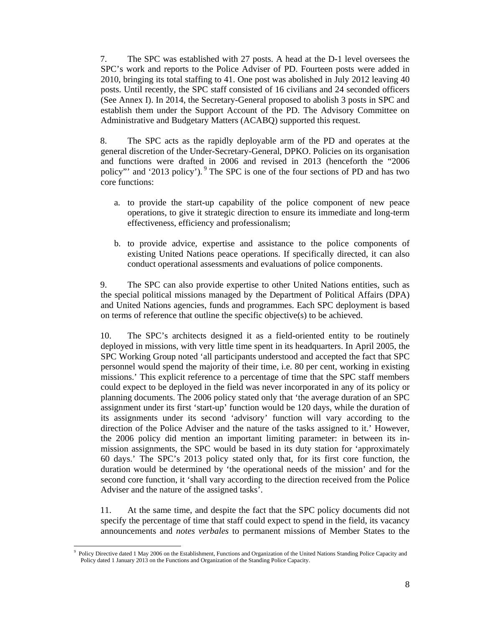7. The SPC was established with 27 posts. A head at the D-1 level oversees the SPC's work and reports to the Police Adviser of PD. Fourteen posts were added in 2010, bringing its total staffing to 41. One post was abolished in July 2012 leaving 40 posts. Until recently, the SPC staff consisted of 16 civilians and 24 seconded officers (See Annex I). In 2014, the Secretary-General proposed to abolish 3 posts in SPC and establish them under the Support Account of the PD. The Advisory Committee on Administrative and Budgetary Matters (ACABQ) supported this request.

8. The SPC acts as the rapidly deployable arm of the PD and operates at the general discretion of the Under-Secretary-General, DPKO. Policies on its organisation and functions were drafted in 2006 and revised in 2013 (henceforth the "2006 policy"' and '2013 policy'). 9 The SPC is one of the four sections of PD and has two core functions:

- a. to provide the start-up capability of the police component of new peace operations, to give it strategic direction to ensure its immediate and long-term effectiveness, efficiency and professionalism;
- b. to provide advice, expertise and assistance to the police components of existing United Nations peace operations. If specifically directed, it can also conduct operational assessments and evaluations of police components.

9. The SPC can also provide expertise to other United Nations entities, such as the special political missions managed by the Department of Political Affairs (DPA) and United Nations agencies, funds and programmes. Each SPC deployment is based on terms of reference that outline the specific objective(s) to be achieved.

10. The SPC's architects designed it as a field-oriented entity to be routinely deployed in missions, with very little time spent in its headquarters. In April 2005, the SPC Working Group noted 'all participants understood and accepted the fact that SPC personnel would spend the majority of their time, i.e. 80 per cent, working in existing missions.' This explicit reference to a percentage of time that the SPC staff members could expect to be deployed in the field was never incorporated in any of its policy or planning documents. The 2006 policy stated only that 'the average duration of an SPC assignment under its first 'start-up' function would be 120 days, while the duration of its assignments under its second 'advisory' function will vary according to the direction of the Police Adviser and the nature of the tasks assigned to it.' However, the 2006 policy did mention an important limiting parameter: in between its inmission assignments, the SPC would be based in its duty station for 'approximately 60 days.' The SPC's 2013 policy stated only that, for its first core function, the duration would be determined by 'the operational needs of the mission' and for the second core function, it 'shall vary according to the direction received from the Police Adviser and the nature of the assigned tasks'.

11. At the same time, and despite the fact that the SPC policy documents did not specify the percentage of time that staff could expect to spend in the field, its vacancy announcements and *notes verbales* to permanent missions of Member States to the

 $\overline{a}$ 

<sup>&</sup>lt;sup>9</sup> Policy Directive dated 1 May 2006 on the Establishment, Functions and Organization of the United Nations Standing Police Capacity and Policy dated 1 January 2013 on the Functions and Organization of the Standing Police Capacity.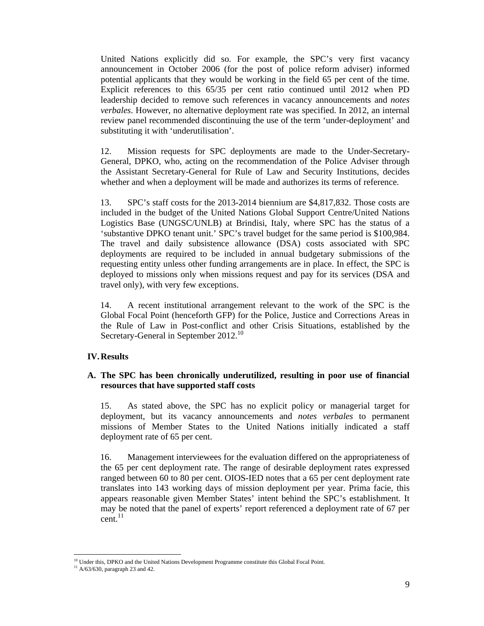United Nations explicitly did so. For example, the SPC's very first vacancy announcement in October 2006 (for the post of police reform adviser) informed potential applicants that they would be working in the field 65 per cent of the time. Explicit references to this 65/35 per cent ratio continued until 2012 when PD leadership decided to remove such references in vacancy announcements and *notes verbales*. However, no alternative deployment rate was specified. In 2012, an internal review panel recommended discontinuing the use of the term 'under-deployment' and substituting it with 'underutilisation'.

12. Mission requests for SPC deployments are made to the Under-Secretary-General, DPKO, who, acting on the recommendation of the Police Adviser through the Assistant Secretary-General for Rule of Law and Security Institutions, decides whether and when a deployment will be made and authorizes its terms of reference.

13. SPC's staff costs for the 2013-2014 biennium are \$4,817,832. Those costs are included in the budget of the United Nations Global Support Centre/United Nations Logistics Base (UNGSC/UNLB) at Brindisi, Italy, where SPC has the status of a 'substantive DPKO tenant unit.' SPC's travel budget for the same period is \$100,984. The travel and daily subsistence allowance (DSA) costs associated with SPC deployments are required to be included in annual budgetary submissions of the requesting entity unless other funding arrangements are in place. In effect, the SPC is deployed to missions only when missions request and pay for its services (DSA and travel only), with very few exceptions.

14. A recent institutional arrangement relevant to the work of the SPC is the Global Focal Point (henceforth GFP) for the Police, Justice and Corrections Areas in the Rule of Law in Post-conflict and other Crisis Situations, established by the Secretary-General in September 2012.<sup>10</sup>

#### **IV.Results**

#### **A. The SPC has been chronically underutilized, resulting in poor use of financial resources that have supported staff costs**

15. As stated above, the SPC has no explicit policy or managerial target for deployment, but its vacancy announcements and *notes verbales* to permanent missions of Member States to the United Nations initially indicated a staff deployment rate of 65 per cent.

16. Management interviewees for the evaluation differed on the appropriateness of the 65 per cent deployment rate. The range of desirable deployment rates expressed ranged between 60 to 80 per cent. OIOS-IED notes that a 65 per cent deployment rate translates into 143 working days of mission deployment per year. Prima facie, this appears reasonable given Member States' intent behind the SPC's establishment. It may be noted that the panel of experts' report referenced a deployment rate of 67 per  $cent.<sup>11</sup>$ 

 $\overline{a}$ 

<sup>&</sup>lt;sup>10</sup> Under this, DPKO and the United Nations Development Programme constitute this Global Focal Point.

 $11$  A/63/630, paragraph 23 and 42.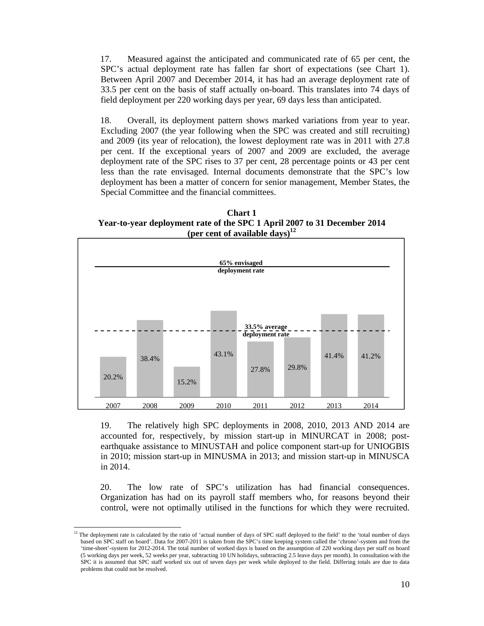17. Measured against the anticipated and communicated rate of 65 per cent, the SPC's actual deployment rate has fallen far short of expectations (see Chart 1). Between April 2007 and December 2014, it has had an average deployment rate of 33.5 per cent on the basis of staff actually on-board. This translates into 74 days of field deployment per 220 working days per year, 69 days less than anticipated.

18. Overall, its deployment pattern shows marked variations from year to year. Excluding 2007 (the year following when the SPC was created and still recruiting) and 2009 (its year of relocation), the lowest deployment rate was in 2011 with 27.8 per cent. If the exceptional years of 2007 and 2009 are excluded, the average deployment rate of the SPC rises to 37 per cent, 28 percentage points or 43 per cent less than the rate envisaged. Internal documents demonstrate that the SPC's low deployment has been a matter of concern for senior management, Member States, the Special Committee and the financial committees.

**Chart 1 Year-to-year deployment rate of the SPC 1 April 2007 to 31 December 2014 (per cent of available days)12**



19. The relatively high SPC deployments in 2008, 2010, 2013 AND 2014 are accounted for, respectively, by mission start-up in MINURCAT in 2008; postearthquake assistance to MINUSTAH and police component start-up for UNIOGBIS in 2010; mission start-up in MINUSMA in 2013; and mission start-up in MINUSCA in 2014.

20. The low rate of SPC's utilization has had financial consequences. Organization has had on its payroll staff members who, for reasons beyond their control, were not optimally utilised in the functions for which they were recruited.

 $\overline{a}$  $12$  The deployment rate is calculated by the ratio of 'actual number of days of SPC staff deployed to the field' to the 'total number of days based on SPC staff on board'. Data for 2007-2011 is taken from the SPC's time keeping system called the 'chrono'-system and from the 'time-sheet'-system for 2012-2014. The total number of worked days is based on the assumption of 220 working days per staff on board (5 working days per week, 52 weeks per year, subtracting 10 UN holidays, subtracting 2.5 leave days per month). In consultation with the SPC it is assumed that SPC staff worked six out of seven days per week while deployed to the field. Differing totals are due to data problems that could not be resolved.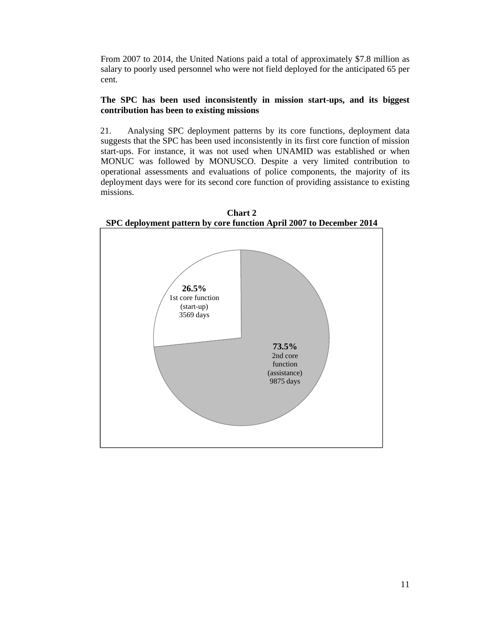From 2007 to 2014, the United Nations paid a total of approximately \$7.8 million as salary to poorly used personnel who were not field deployed for the anticipated 65 per cent.

#### **The SPC has been used inconsistently in mission start-ups, and its biggest contribution has been to existing missions**

21. Analysing SPC deployment patterns by its core functions, deployment data suggests that the SPC has been used inconsistently in its first core function of mission start-ups. For instance, it was not used when UNAMID was established or when MONUC was followed by MONUSCO. Despite a very limited contribution to operational assessments and evaluations of police components, the majority of its deployment days were for its second core function of providing assistance to existing missions.



**Chart 2 SPC deployment pattern by core function April 2007 to December 2014**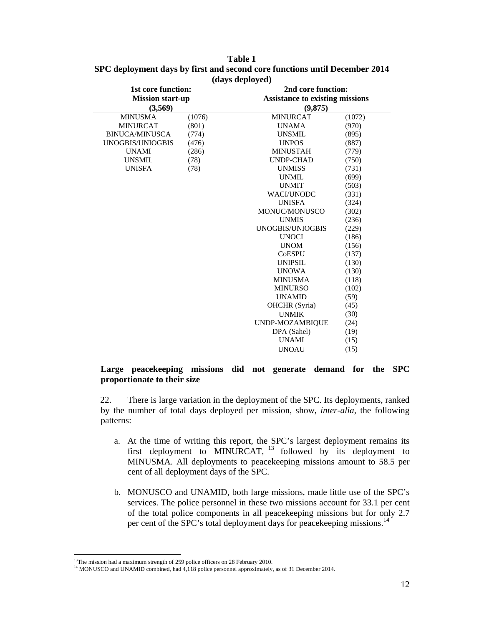| <b>1st core function:</b><br><b>Mission start-up</b><br>(3,569) |        | 2nd core function:<br><b>Assistance to existing missions</b><br>(9,875) |        |  |
|-----------------------------------------------------------------|--------|-------------------------------------------------------------------------|--------|--|
| <b>MINUSMA</b>                                                  | (1076) | <b>MINURCAT</b>                                                         | (1072) |  |
| <b>MINURCAT</b>                                                 | (801)  | <b>UNAMA</b>                                                            | (970)  |  |
| <b>BINUCA/MINUSCA</b>                                           | (774)  | <b>UNSMIL</b>                                                           | (895)  |  |
| UNOGBIS/UNIOGBIS                                                | (476)  | <b>UNPOS</b>                                                            | (887)  |  |
| <b>UNAMI</b>                                                    | (286)  | <b>MINUSTAH</b>                                                         | (779)  |  |
| <b>UNSMIL</b>                                                   | (78)   | <b>UNDP-CHAD</b>                                                        | (750)  |  |
| <b>UNISFA</b>                                                   | (78)   | <b>UNMISS</b>                                                           | (731)  |  |
|                                                                 |        | <b>UNMIL</b>                                                            | (699)  |  |
|                                                                 |        | <b>UNMIT</b>                                                            | (503)  |  |
|                                                                 |        | <b>WACI/UNODC</b>                                                       | (331)  |  |
|                                                                 |        | <b>UNISFA</b>                                                           | (324)  |  |
|                                                                 |        | MONUC/MONUSCO                                                           | (302)  |  |
|                                                                 |        | <b>UNMIS</b>                                                            | (236)  |  |
|                                                                 |        | UNOGBIS/UNIOGBIS                                                        | (229)  |  |
|                                                                 |        | <b>UNOCI</b>                                                            | (186)  |  |
|                                                                 |        | <b>UNOM</b>                                                             | (156)  |  |
|                                                                 |        | <b>CoESPU</b>                                                           | (137)  |  |
|                                                                 |        | <b>UNIPSIL</b>                                                          | (130)  |  |
|                                                                 |        | <b>UNOWA</b>                                                            | (130)  |  |
|                                                                 |        | <b>MINUSMA</b>                                                          | (118)  |  |
|                                                                 |        | <b>MINURSO</b>                                                          | (102)  |  |
|                                                                 |        | <b>UNAMID</b>                                                           | (59)   |  |
|                                                                 |        | <b>OHCHR</b> (Syria)                                                    | (45)   |  |
|                                                                 |        | <b>UNMIK</b>                                                            | (30)   |  |
|                                                                 |        | UNDP-MOZAMBIQUE                                                         | (24)   |  |
|                                                                 |        | DPA (Sahel)                                                             | (19)   |  |
|                                                                 |        | <b>UNAMI</b>                                                            | (15)   |  |
|                                                                 |        | <b>UNOAU</b>                                                            | (15)   |  |

#### **Table 1 SPC deployment days by first and second core functions until December 2014 (days deployed)**

#### **Large peacekeeping missions did not generate demand for the SPC proportionate to their size**

22. There is large variation in the deployment of the SPC. Its deployments, ranked by the number of total days deployed per mission, show, *inter-alia,* the following patterns:

- a. At the time of writing this report, the SPC's largest deployment remains its first deployment to MINURCAT,  $^{13}$  followed by its deployment to MINUSMA. All deployments to peacekeeping missions amount to 58.5 per cent of all deployment days of the SPC.
- b. MONUSCO and UNAMID, both large missions, made little use of the SPC's services. The police personnel in these two missions account for 33.1 per cent of the total police components in all peacekeeping missions but for only 2.7 per cent of the SPC's total deployment days for peacekeeping missions.<sup>14</sup>

 $\overline{a}$  $13$ The mission had a maximum strength of 259 police officers on 28 February 2010.

<sup>&</sup>lt;sup>14</sup> MONUSCO and UNAMID combined, had 4,118 police personnel approximately, as of 31 December 2014.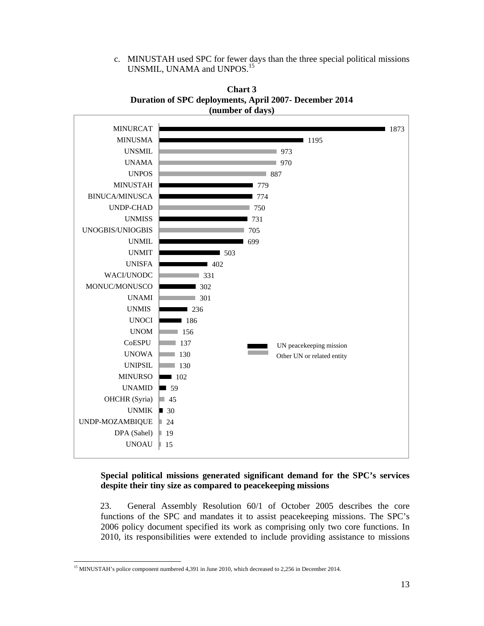c. MINUSTAH used SPC for fewer days than the three special political missions UNSMIL, UNAMA and UNPOS.<sup>15</sup>





#### **Special political missions generated significant demand for the SPC's services despite their tiny size as compared to peacekeeping missions**

23. General Assembly Resolution 60/1 of October 2005 describes the core functions of the SPC and mandates it to assist peacekeeping missions. The SPC's 2006 policy document specified its work as comprising only two core functions. In 2010, its responsibilities were extended to include providing assistance to missions

 $\overline{a}$ <sup>15</sup> MINUSTAH's police component numbered 4,391 in June 2010, which decreased to 2,256 in December 2014.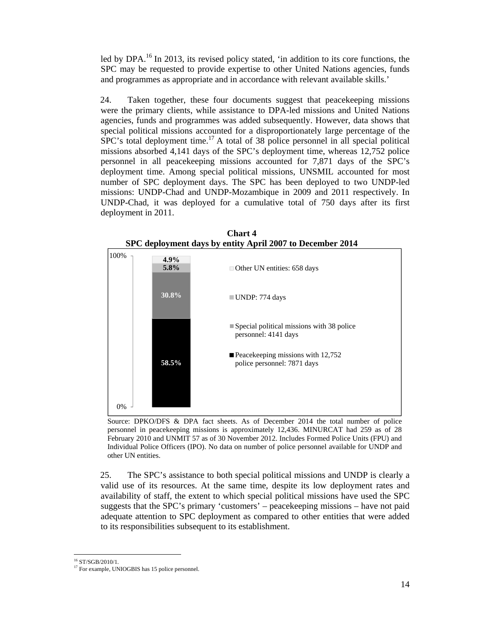led by DPA.<sup>16</sup> In 2013, its revised policy stated, 'in addition to its core functions, the SPC may be requested to provide expertise to other United Nations agencies, funds and programmes as appropriate and in accordance with relevant available skills.'

24. Taken together, these four documents suggest that peacekeeping missions were the primary clients, while assistance to DPA-led missions and United Nations agencies, funds and programmes was added subsequently. However, data shows that special political missions accounted for a disproportionately large percentage of the  $SPC$ 's total deployment time.<sup>17</sup> A total of 38 police personnel in all special political missions absorbed 4,141 days of the SPC's deployment time, whereas 12,752 police personnel in all peacekeeping missions accounted for 7,871 days of the SPC's deployment time. Among special political missions, UNSMIL accounted for most number of SPC deployment days. The SPC has been deployed to two UNDP-led missions: UNDP-Chad and UNDP-Mozambique in 2009 and 2011 respectively. In UNDP-Chad, it was deployed for a cumulative total of 750 days after its first deployment in 2011.



**Chart 4 SPC deployment days by entity April 2007 to December 2014** 

Source: DPKO/DFS & DPA fact sheets. As of December 2014 the total number of police personnel in peacekeeping missions is approximately 12,436. MINURCAT had 259 as of 28 February 2010 and UNMIT 57 as of 30 November 2012. Includes Formed Police Units (FPU) and Individual Police Officers (IPO). No data on number of police personnel available for UNDP and other UN entities.

25. The SPC's assistance to both special political missions and UNDP is clearly a valid use of its resources. At the same time, despite its low deployment rates and availability of staff, the extent to which special political missions have used the SPC suggests that the SPC's primary 'customers' – peacekeeping missions – have not paid adequate attention to SPC deployment as compared to other entities that were added to its responsibilities subsequent to its establishment.

 $\overline{a}$ 16 ST/SGB/2010/1.

<sup>&</sup>lt;sup>17</sup> For example, UNIOGBIS has 15 police personnel.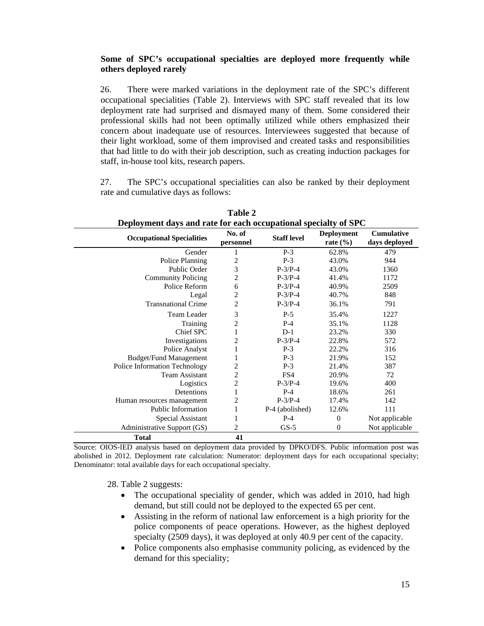#### **Some of SPC's occupational specialties are deployed more frequently while others deployed rarely**

26. There were marked variations in the deployment rate of the SPC's different occupational specialities (Table 2). Interviews with SPC staff revealed that its low deployment rate had surprised and dismayed many of them. Some considered their professional skills had not been optimally utilized while others emphasized their concern about inadequate use of resources. Interviewees suggested that because of their light workload, some of them improvised and created tasks and responsibilities that had little to do with their job description, such as creating induction packages for staff, in-house tool kits, research papers.

27. The SPC's occupational specialities can also be ranked by their deployment rate and cumulative days as follows:

| Deployment days and rate for each occupational specialty of SPC |                     |                    |                                   |                                    |
|-----------------------------------------------------------------|---------------------|--------------------|-----------------------------------|------------------------------------|
| <b>Occupational Specialities</b>                                | No. of<br>personnel | <b>Staff level</b> | <b>Deployment</b><br>rate $(\% )$ | <b>Cumulative</b><br>days deployed |
| Gender                                                          | 1                   | $P-3$              | 62.8%                             | 479                                |
| Police Planning                                                 | 2                   | $P-3$              | 43.0%                             | 944                                |
| Public Order                                                    | 3                   | $P-3/P-4$          | 43.0%                             | 1360                               |
| <b>Community Policing</b>                                       | 2                   | $P-3/P-4$          | 41.4%                             | 1172                               |
| Police Reform                                                   | 6                   | $P-3/P-4$          | 40.9%                             | 2509                               |
| Legal                                                           | $\overline{c}$      | $P-3/P-4$          | 40.7%                             | 848                                |
| <b>Transnational Crime</b>                                      | $\overline{2}$      | $P-3/P-4$          | 36.1%                             | 791                                |
| <b>Team Leader</b>                                              | 3                   | $P-5$              | 35.4%                             | 1227                               |
| Training                                                        | $\overline{c}$      | $P-4$              | 35.1%                             | 1128                               |
| Chief SPC                                                       | 1                   | $D-1$              | 23.2%                             | 330                                |
| Investigations                                                  | $\overline{2}$      | $P-3/P-4$          | 22.8%                             | 572                                |
| Police Analyst                                                  | 1                   | $P-3$              | 22.2%                             | 316                                |
| <b>Budget/Fund Management</b>                                   |                     | $P-3$              | 21.9%                             | 152                                |
| Police Information Technology                                   | $\overline{c}$      | $P-3$              | 21.4%                             | 387                                |
| <b>Team Assistant</b>                                           | $\overline{c}$      | FS4                | 20.9%                             | 72                                 |
| Logistics                                                       | $\overline{c}$      | $P-3/P-4$          | 19.6%                             | 400                                |
| Detentions                                                      | 1                   | $P-4$              | 18.6%                             | 261                                |
| Human resources management                                      | $\overline{2}$      | $P-3/P-4$          | 17.4%                             | 142                                |
| <b>Public Information</b>                                       | 1                   | P-4 (abolished)    | 12.6%                             | 111                                |
| Special Assistant                                               | 1                   | $P-4$              | $\overline{0}$                    | Not applicable                     |
| Administrative Support (GS)                                     | 2                   | $GS-5$             | $\theta$                          | Not applicable                     |
| <b>Total</b>                                                    | 41                  |                    |                                   |                                    |

**Table 2** 

Source: OIOS-IED analysis based on deployment data provided by DPKO/DFS. Public information post was abolished in 2012. Deployment rate calculation: Numerator: deployment days for each occupational specialty; Denominator: total available days for each occupational specialty.

28. Table 2 suggests:

- The occupational speciality of gender, which was added in 2010, had high demand, but still could not be deployed to the expected 65 per cent.
- Assisting in the reform of national law enforcement is a high priority for the police components of peace operations. However, as the highest deployed specialty (2509 days), it was deployed at only 40.9 per cent of the capacity.
- Police components also emphasise community policing, as evidenced by the demand for this speciality;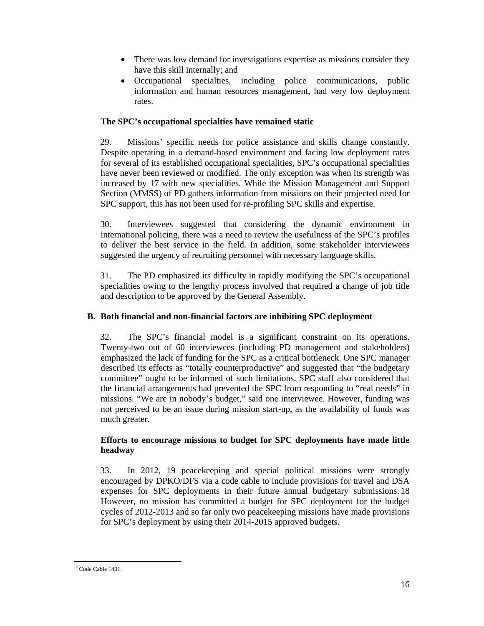- There was low demand for investigations expertise as missions consider they have this skill internally; and
- Occupational specialties, including police communications, public information and human resources management, had very low deployment rates.

#### **The SPC's occupational specialties have remained static**

29. Missions' specific needs for police assistance and skills change constantly. Despite operating in a demand-based environment and facing low deployment rates for several of its established occupational specialities, SPC's occupational specialities have never been reviewed or modified. The only exception was when its strength was increased by 17 with new specialities. While the Mission Management and Support Section (MMSS) of PD gathers information from missions on their projected need for SPC support, this has not been used for re-profiling SPC skills and expertise.

30. Interviewees suggested that considering the dynamic environment in international policing, there was a need to review the usefulness of the SPC's profiles to deliver the best service in the field. In addition, some stakeholder interviewees suggested the urgency of recruiting personnel with necessary language skills.

31. The PD emphasized its difficulty in rapidly modifying the SPC's occupational specialities owing to the lengthy process involved that required a change of job title and description to be approved by the General Assembly.

#### **B. Both financial and non-financial factors are inhibiting SPC deployment**

32. The SPC's financial model is a significant constraint on its operations. Twenty-two out of 60 interviewees (including PD management and stakeholders) emphasized the lack of funding for the SPC as a critical bottleneck. One SPC manager described its effects as "totally counterproductive" and suggested that "the budgetary committee" ought to be informed of such limitations. SPC staff also considered that the financial arrangements had prevented the SPC from responding to "real needs" in missions. "We are in nobody's budget," said one interviewee. However, funding was not perceived to be an issue during mission start-up, as the availability of funds was much greater.

#### **Efforts to encourage missions to budget for SPC deployments have made little headway**

33. In 2012, 19 peacekeeping and special political missions were strongly encouraged by DPKO/DFS via a code cable to include provisions for travel and DSA expenses for SPC deployments in their future annual budgetary submissions. 18 However, no mission has committed a budget for SPC deployment for the budget cycles of 2012-2013 and so far only two peacekeeping missions have made provisions for SPC's deployment by using their 2014-2015 approved budgets.

 $\overline{a}$ <sup>18</sup> Code Cable 1431.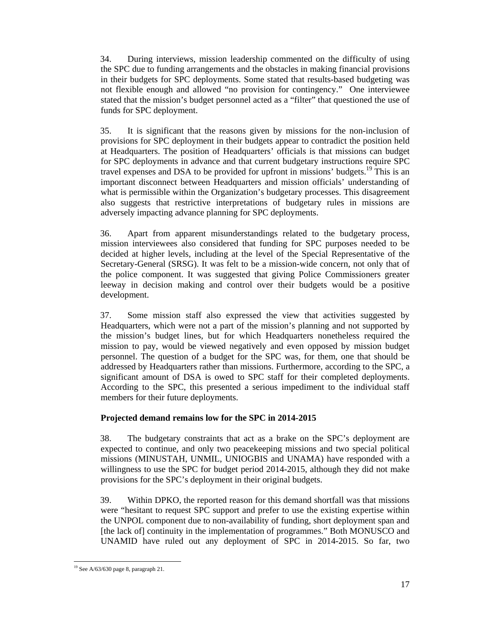34. During interviews, mission leadership commented on the difficulty of using the SPC due to funding arrangements and the obstacles in making financial provisions in their budgets for SPC deployments. Some stated that results-based budgeting was not flexible enough and allowed "no provision for contingency." One interviewee stated that the mission's budget personnel acted as a "filter" that questioned the use of funds for SPC deployment.

35. It is significant that the reasons given by missions for the non-inclusion of provisions for SPC deployment in their budgets appear to contradict the position held at Headquarters. The position of Headquarters' officials is that missions can budget for SPC deployments in advance and that current budgetary instructions require SPC travel expenses and DSA to be provided for upfront in missions' budgets.<sup>19</sup> This is an important disconnect between Headquarters and mission officials' understanding of what is permissible within the Organization's budgetary processes. This disagreement also suggests that restrictive interpretations of budgetary rules in missions are adversely impacting advance planning for SPC deployments.

36. Apart from apparent misunderstandings related to the budgetary process, mission interviewees also considered that funding for SPC purposes needed to be decided at higher levels, including at the level of the Special Representative of the Secretary-General (SRSG). It was felt to be a mission-wide concern, not only that of the police component. It was suggested that giving Police Commissioners greater leeway in decision making and control over their budgets would be a positive development.

37. Some mission staff also expressed the view that activities suggested by Headquarters, which were not a part of the mission's planning and not supported by the mission's budget lines, but for which Headquarters nonetheless required the mission to pay, would be viewed negatively and even opposed by mission budget personnel. The question of a budget for the SPC was, for them, one that should be addressed by Headquarters rather than missions. Furthermore, according to the SPC, a significant amount of DSA is owed to SPC staff for their completed deployments. According to the SPC, this presented a serious impediment to the individual staff members for their future deployments.

#### **Projected demand remains low for the SPC in 2014-2015**

38. The budgetary constraints that act as a brake on the SPC's deployment are expected to continue, and only two peacekeeping missions and two special political missions (MINUSTAH, UNMIL, UNIOGBIS and UNAMA) have responded with a willingness to use the SPC for budget period 2014-2015, although they did not make provisions for the SPC's deployment in their original budgets.

39. Within DPKO, the reported reason for this demand shortfall was that missions were "hesitant to request SPC support and prefer to use the existing expertise within the UNPOL component due to non-availability of funding, short deployment span and [the lack of] continuity in the implementation of programmes." Both MONUSCO and UNAMID have ruled out any deployment of SPC in 2014-2015. So far, two

 $\overline{a}$  $19$  See A/63/630 page 8, paragraph 21.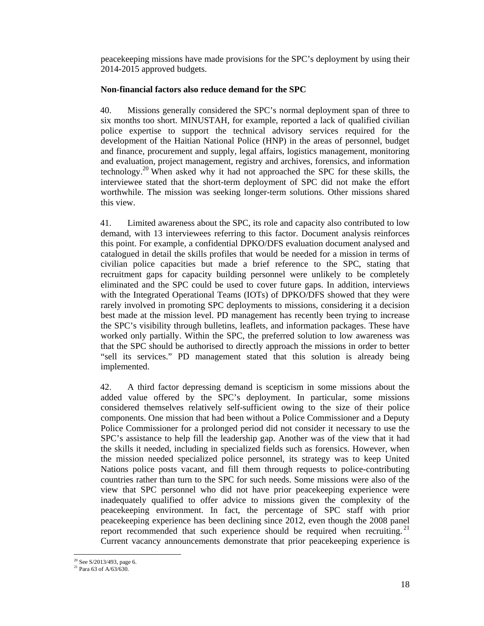peacekeeping missions have made provisions for the SPC's deployment by using their 2014-2015 approved budgets.

#### **Non-financial factors also reduce demand for the SPC**

40. Missions generally considered the SPC's normal deployment span of three to six months too short. MINUSTAH, for example, reported a lack of qualified civilian police expertise to support the technical advisory services required for the development of the Haitian National Police (HNP) in the areas of personnel, budget and finance, procurement and supply, legal affairs, logistics management, monitoring and evaluation, project management, registry and archives, forensics, and information technology.20 When asked why it had not approached the SPC for these skills, the interviewee stated that the short-term deployment of SPC did not make the effort worthwhile. The mission was seeking longer-term solutions. Other missions shared this view.

41. Limited awareness about the SPC, its role and capacity also contributed to low demand, with 13 interviewees referring to this factor. Document analysis reinforces this point. For example, a confidential DPKO/DFS evaluation document analysed and catalogued in detail the skills profiles that would be needed for a mission in terms of civilian police capacities but made a brief reference to the SPC, stating that recruitment gaps for capacity building personnel were unlikely to be completely eliminated and the SPC could be used to cover future gaps. In addition, interviews with the Integrated Operational Teams (IOTs) of DPKO/DFS showed that they were rarely involved in promoting SPC deployments to missions, considering it a decision best made at the mission level. PD management has recently been trying to increase the SPC's visibility through bulletins, leaflets, and information packages. These have worked only partially. Within the SPC, the preferred solution to low awareness was that the SPC should be authorised to directly approach the missions in order to better "sell its services." PD management stated that this solution is already being implemented.

42. A third factor depressing demand is scepticism in some missions about the added value offered by the SPC's deployment. In particular, some missions considered themselves relatively self-sufficient owing to the size of their police components. One mission that had been without a Police Commissioner and a Deputy Police Commissioner for a prolonged period did not consider it necessary to use the SPC's assistance to help fill the leadership gap. Another was of the view that it had the skills it needed, including in specialized fields such as forensics. However, when the mission needed specialized police personnel, its strategy was to keep United Nations police posts vacant, and fill them through requests to police-contributing countries rather than turn to the SPC for such needs. Some missions were also of the view that SPC personnel who did not have prior peacekeeping experience were inadequately qualified to offer advice to missions given the complexity of the peacekeeping environment. In fact, the percentage of SPC staff with prior peacekeeping experience has been declining since 2012, even though the 2008 panel report recommended that such experience should be required when recruiting.<sup>21</sup> Current vacancy announcements demonstrate that prior peacekeeping experience is

 $\overline{a}$  $20$  See S/2013/493, page 6.

<sup>21</sup> Para 63 of A/63/630.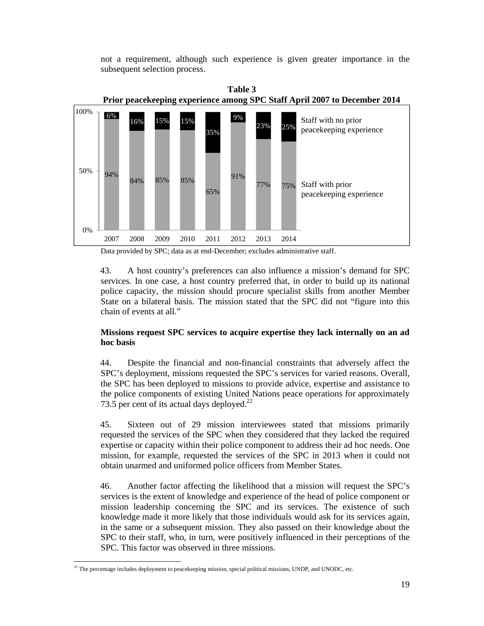not a requirement, although such experience is given greater importance in the subsequent selection process.



Data provided by SPC; data as at end-December; excludes administrative staff.

43. A host country's preferences can also influence a mission's demand for SPC services. In one case, a host country preferred that, in order to build up its national police capacity, the mission should procure specialist skills from another Member State on a bilateral basis. The mission stated that the SPC did not "figure into this chain of events at all."

#### **Missions request SPC services to acquire expertise they lack internally on an ad hoc basis**

44. Despite the financial and non-financial constraints that adversely affect the SPC's deployment, missions requested the SPC's services for varied reasons. Overall, the SPC has been deployed to missions to provide advice, expertise and assistance to the police components of existing United Nations peace operations for approximately 73.5 per cent of its actual days deployed. $^{22}$ 

45. Sixteen out of 29 mission interviewees stated that missions primarily requested the services of the SPC when they considered that they lacked the required expertise or capacity within their police component to address their ad hoc needs. One mission, for example, requested the services of the SPC in 2013 when it could not obtain unarmed and uniformed police officers from Member States.

46. Another factor affecting the likelihood that a mission will request the SPC's services is the extent of knowledge and experience of the head of police component or mission leadership concerning the SPC and its services. The existence of such knowledge made it more likely that those individuals would ask for its services again, in the same or a subsequent mission. They also passed on their knowledge about the SPC to their staff, who, in turn, were positively influenced in their perceptions of the SPC. This factor was observed in three missions.

 $\overline{a}$  $22$  The percentage includes deployment to peacekeeping mission, special political missions, UNDP, and UNODC, etc.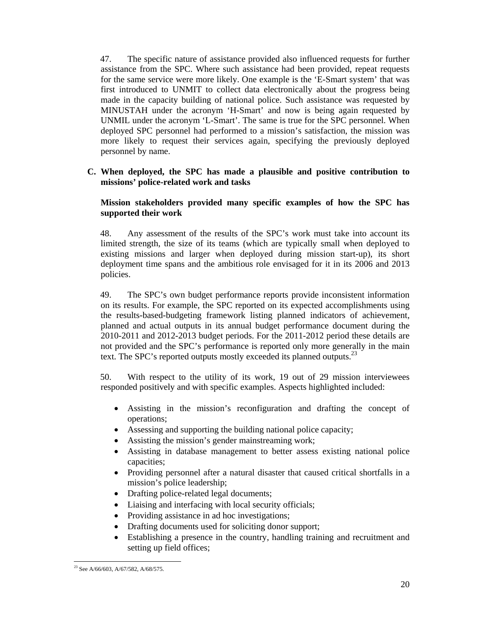47. The specific nature of assistance provided also influenced requests for further assistance from the SPC. Where such assistance had been provided, repeat requests for the same service were more likely. One example is the 'E-Smart system' that was first introduced to UNMIT to collect data electronically about the progress being made in the capacity building of national police. Such assistance was requested by MINUSTAH under the acronym 'H-Smart' and now is being again requested by UNMIL under the acronym 'L-Smart'. The same is true for the SPC personnel. When deployed SPC personnel had performed to a mission's satisfaction, the mission was more likely to request their services again, specifying the previously deployed personnel by name.

#### **C. When deployed, the SPC has made a plausible and positive contribution to missions' police-related work and tasks**

#### **Mission stakeholders provided many specific examples of how the SPC has supported their work**

48. Any assessment of the results of the SPC's work must take into account its limited strength, the size of its teams (which are typically small when deployed to existing missions and larger when deployed during mission start-up), its short deployment time spans and the ambitious role envisaged for it in its 2006 and 2013 policies.

49. The SPC's own budget performance reports provide inconsistent information on its results. For example, the SPC reported on its expected accomplishments using the results-based-budgeting framework listing planned indicators of achievement, planned and actual outputs in its annual budget performance document during the 2010-2011 and 2012-2013 budget periods. For the 2011-2012 period these details are not provided and the SPC's performance is reported only more generally in the main text. The SPC's reported outputs mostly exceeded its planned outputs.<sup>23</sup>

50. With respect to the utility of its work, 19 out of 29 mission interviewees responded positively and with specific examples. Aspects highlighted included:

- Assisting in the mission's reconfiguration and drafting the concept of operations;
- Assessing and supporting the building national police capacity;
- Assisting the mission's gender mainstreaming work;
- Assisting in database management to better assess existing national police capacities;
- Providing personnel after a natural disaster that caused critical shortfalls in a mission's police leadership;
- Drafting police-related legal documents;
- Liaising and interfacing with local security officials;
- Providing assistance in ad hoc investigations;
- Drafting documents used for soliciting donor support;
- Establishing a presence in the country, handling training and recruitment and setting up field offices;

 $\overline{a}$ <sup>23</sup> See A/66/603, A/67/582, A/68/575.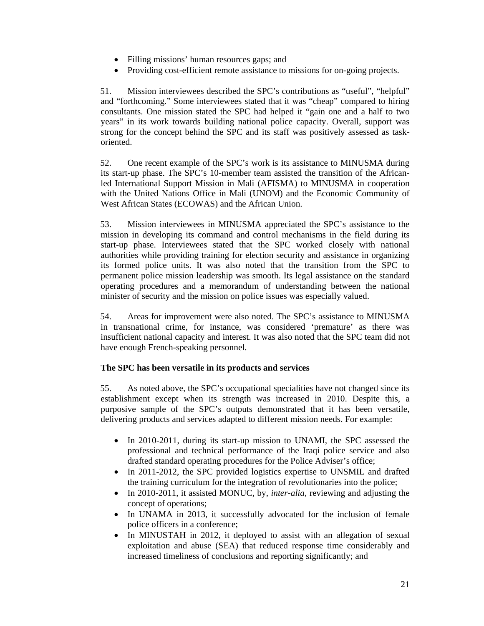- Filling missions' human resources gaps; and
- Providing cost-efficient remote assistance to missions for on-going projects.

51. Mission interviewees described the SPC's contributions as "useful", "helpful" and "forthcoming." Some interviewees stated that it was "cheap" compared to hiring consultants. One mission stated the SPC had helped it "gain one and a half to two years" in its work towards building national police capacity. Overall, support was strong for the concept behind the SPC and its staff was positively assessed as taskoriented.

52. One recent example of the SPC's work is its assistance to MINUSMA during its start-up phase. The SPC's 10-member team assisted the transition of the Africanled International Support Mission in Mali (AFISMA) to MINUSMA in cooperation with the United Nations Office in Mali (UNOM) and the Economic Community of West African States (ECOWAS) and the African Union.

53. Mission interviewees in MINUSMA appreciated the SPC's assistance to the mission in developing its command and control mechanisms in the field during its start-up phase. Interviewees stated that the SPC worked closely with national authorities while providing training for election security and assistance in organizing its formed police units. It was also noted that the transition from the SPC to permanent police mission leadership was smooth. Its legal assistance on the standard operating procedures and a memorandum of understanding between the national minister of security and the mission on police issues was especially valued.

54. Areas for improvement were also noted. The SPC's assistance to MINUSMA in transnational crime, for instance, was considered 'premature' as there was insufficient national capacity and interest. It was also noted that the SPC team did not have enough French-speaking personnel.

#### **The SPC has been versatile in its products and services**

55. As noted above, the SPC's occupational specialities have not changed since its establishment except when its strength was increased in 2010. Despite this, a purposive sample of the SPC's outputs demonstrated that it has been versatile, delivering products and services adapted to different mission needs. For example:

- In 2010-2011, during its start-up mission to UNAMI, the SPC assessed the professional and technical performance of the Iraqi police service and also drafted standard operating procedures for the Police Adviser's office;
- In 2011-2012, the SPC provided logistics expertise to UNSMIL and drafted the training curriculum for the integration of revolutionaries into the police;
- In 2010-2011, it assisted MONUC, by, *inter-alia*, reviewing and adjusting the concept of operations;
- In UNAMA in 2013, it successfully advocated for the inclusion of female police officers in a conference;
- In MINUSTAH in 2012, it deployed to assist with an allegation of sexual exploitation and abuse (SEA) that reduced response time considerably and increased timeliness of conclusions and reporting significantly; and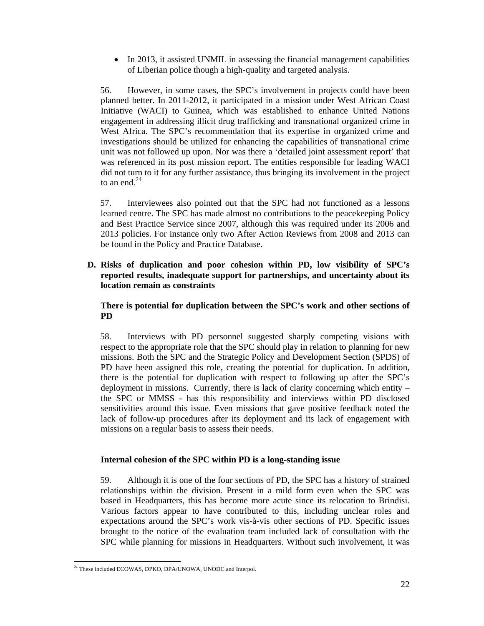• In 2013, it assisted UNMIL in assessing the financial management capabilities of Liberian police though a high-quality and targeted analysis.

56. However, in some cases, the SPC's involvement in projects could have been planned better. In 2011-2012, it participated in a mission under West African Coast Initiative (WACI) to Guinea, which was established to enhance United Nations engagement in addressing illicit drug trafficking and transnational organized crime in West Africa. The SPC's recommendation that its expertise in organized crime and investigations should be utilized for enhancing the capabilities of transnational crime unit was not followed up upon. Nor was there a 'detailed joint assessment report' that was referenced in its post mission report. The entities responsible for leading WACI did not turn to it for any further assistance, thus bringing its involvement in the project to an end. $^{24}$ 

57. Interviewees also pointed out that the SPC had not functioned as a lessons learned centre. The SPC has made almost no contributions to the peacekeeping Policy and Best Practice Service since 2007, although this was required under its 2006 and 2013 policies. For instance only two After Action Reviews from 2008 and 2013 can be found in the Policy and Practice Database.

**D. Risks of duplication and poor cohesion within PD, low visibility of SPC's reported results, inadequate support for partnerships, and uncertainty about its location remain as constraints** 

#### **There is potential for duplication between the SPC's work and other sections of PD**

58. Interviews with PD personnel suggested sharply competing visions with respect to the appropriate role that the SPC should play in relation to planning for new missions. Both the SPC and the Strategic Policy and Development Section (SPDS) of PD have been assigned this role, creating the potential for duplication. In addition, there is the potential for duplication with respect to following up after the SPC's deployment in missions. Currently, there is lack of clarity concerning which entity – the SPC or MMSS - has this responsibility and interviews within PD disclosed sensitivities around this issue. Even missions that gave positive feedback noted the lack of follow-up procedures after its deployment and its lack of engagement with missions on a regular basis to assess their needs.

#### **Internal cohesion of the SPC within PD is a long-standing issue**

59. Although it is one of the four sections of PD, the SPC has a history of strained relationships within the division. Present in a mild form even when the SPC was based in Headquarters, this has become more acute since its relocation to Brindisi. Various factors appear to have contributed to this, including unclear roles and expectations around the SPC's work vis-à-vis other sections of PD. Specific issues brought to the notice of the evaluation team included lack of consultation with the SPC while planning for missions in Headquarters. Without such involvement, it was

 $\overline{a}$ <sup>24</sup> These included ECOWAS, DPKO, DPA/UNOWA, UNODC and Interpol.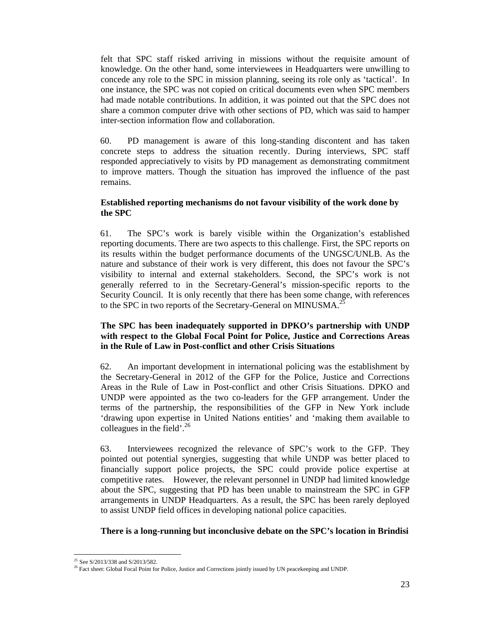felt that SPC staff risked arriving in missions without the requisite amount of knowledge. On the other hand, some interviewees in Headquarters were unwilling to concede any role to the SPC in mission planning, seeing its role only as 'tactical'. In one instance, the SPC was not copied on critical documents even when SPC members had made notable contributions. In addition, it was pointed out that the SPC does not share a common computer drive with other sections of PD, which was said to hamper inter-section information flow and collaboration.

60. PD management is aware of this long-standing discontent and has taken concrete steps to address the situation recently. During interviews, SPC staff responded appreciatively to visits by PD management as demonstrating commitment to improve matters. Though the situation has improved the influence of the past remains.

#### **Established reporting mechanisms do not favour visibility of the work done by the SPC**

61. The SPC's work is barely visible within the Organization's established reporting documents. There are two aspects to this challenge. First, the SPC reports on its results within the budget performance documents of the UNGSC/UNLB. As the nature and substance of their work is very different, this does not favour the SPC's visibility to internal and external stakeholders. Second, the SPC's work is not generally referred to in the Secretary-General's mission-specific reports to the Security Council. It is only recently that there has been some change, with references to the SPC in two reports of the Secretary-General on MINUSMA.<sup>25</sup>

#### **The SPC has been inadequately supported in DPKO's partnership with UNDP with respect to the Global Focal Point for Police, Justice and Corrections Areas in the Rule of Law in Post-conflict and other Crisis Situations**

62. An important development in international policing was the establishment by the Secretary-General in 2012 of the GFP for the Police, Justice and Corrections Areas in the Rule of Law in Post-conflict and other Crisis Situations. DPKO and UNDP were appointed as the two co-leaders for the GFP arrangement. Under the terms of the partnership, the responsibilities of the GFP in New York include 'drawing upon expertise in United Nations entities' and 'making them available to colleagues in the field'.<sup>26</sup>

63. Interviewees recognized the relevance of SPC's work to the GFP. They pointed out potential synergies, suggesting that while UNDP was better placed to financially support police projects, the SPC could provide police expertise at competitive rates. However, the relevant personnel in UNDP had limited knowledge about the SPC, suggesting that PD has been unable to mainstream the SPC in GFP arrangements in UNDP Headquarters. As a result, the SPC has been rarely deployed to assist UNDP field offices in developing national police capacities.

#### **There is a long-running but inconclusive debate on the SPC's location in Brindisi**

<sup>&</sup>lt;sup>25</sup> See S/2013/338 and S/2013/582.<br><sup>26</sup> Fact sheet: Global Focal Point for Police, Justice and Corrections jointly issued by UN peacekeeping and UNDP.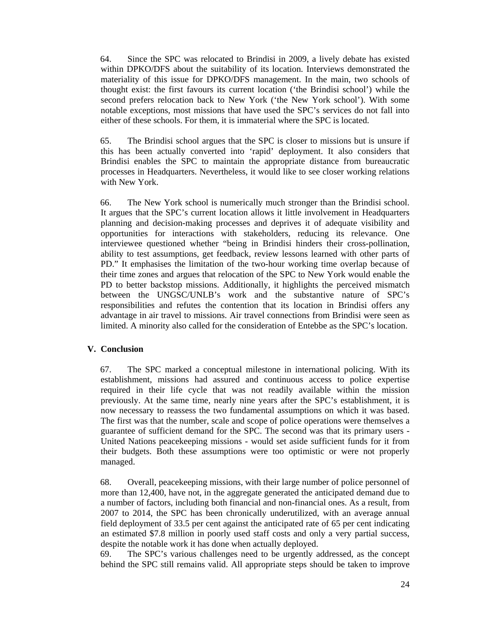64. Since the SPC was relocated to Brindisi in 2009, a lively debate has existed within DPKO/DFS about the suitability of its location. Interviews demonstrated the materiality of this issue for DPKO/DFS management. In the main, two schools of thought exist: the first favours its current location ('the Brindisi school') while the second prefers relocation back to New York ('the New York school'). With some notable exceptions, most missions that have used the SPC's services do not fall into either of these schools. For them, it is immaterial where the SPC is located.

65. The Brindisi school argues that the SPC is closer to missions but is unsure if this has been actually converted into 'rapid' deployment. It also considers that Brindisi enables the SPC to maintain the appropriate distance from bureaucratic processes in Headquarters. Nevertheless, it would like to see closer working relations with New York.

66. The New York school is numerically much stronger than the Brindisi school. It argues that the SPC's current location allows it little involvement in Headquarters planning and decision-making processes and deprives it of adequate visibility and opportunities for interactions with stakeholders, reducing its relevance. One interviewee questioned whether "being in Brindisi hinders their cross-pollination, ability to test assumptions, get feedback, review lessons learned with other parts of PD." It emphasises the limitation of the two-hour working time overlap because of their time zones and argues that relocation of the SPC to New York would enable the PD to better backstop missions. Additionally, it highlights the perceived mismatch between the UNGSC/UNLB's work and the substantive nature of SPC's responsibilities and refutes the contention that its location in Brindisi offers any advantage in air travel to missions. Air travel connections from Brindisi were seen as limited. A minority also called for the consideration of Entebbe as the SPC's location.

#### **V. Conclusion**

67. The SPC marked a conceptual milestone in international policing. With its establishment, missions had assured and continuous access to police expertise required in their life cycle that was not readily available within the mission previously. At the same time, nearly nine years after the SPC's establishment, it is now necessary to reassess the two fundamental assumptions on which it was based. The first was that the number, scale and scope of police operations were themselves a guarantee of sufficient demand for the SPC. The second was that its primary users - United Nations peacekeeping missions - would set aside sufficient funds for it from their budgets. Both these assumptions were too optimistic or were not properly managed.

68. Overall, peacekeeping missions, with their large number of police personnel of more than 12,400, have not, in the aggregate generated the anticipated demand due to a number of factors, including both financial and non-financial ones. As a result, from 2007 to 2014, the SPC has been chronically underutilized, with an average annual field deployment of 33.5 per cent against the anticipated rate of 65 per cent indicating an estimated \$7.8 million in poorly used staff costs and only a very partial success, despite the notable work it has done when actually deployed.

69. The SPC's various challenges need to be urgently addressed, as the concept behind the SPC still remains valid. All appropriate steps should be taken to improve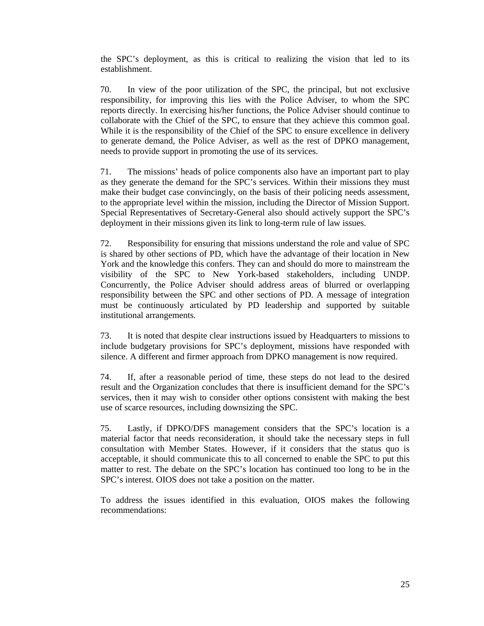the SPC's deployment, as this is critical to realizing the vision that led to its establishment.

70. In view of the poor utilization of the SPC, the principal, but not exclusive responsibility, for improving this lies with the Police Adviser, to whom the SPC reports directly. In exercising his/her functions, the Police Adviser should continue to collaborate with the Chief of the SPC, to ensure that they achieve this common goal. While it is the responsibility of the Chief of the SPC to ensure excellence in delivery to generate demand, the Police Adviser, as well as the rest of DPKO management, needs to provide support in promoting the use of its services.

71. The missions' heads of police components also have an important part to play as they generate the demand for the SPC's services. Within their missions they must make their budget case convincingly, on the basis of their policing needs assessment, to the appropriate level within the mission, including the Director of Mission Support. Special Representatives of Secretary-General also should actively support the SPC's deployment in their missions given its link to long-term rule of law issues.

72. Responsibility for ensuring that missions understand the role and value of SPC is shared by other sections of PD, which have the advantage of their location in New York and the knowledge this confers. They can and should do more to mainstream the visibility of the SPC to New York-based stakeholders, including UNDP. Concurrently, the Police Adviser should address areas of blurred or overlapping responsibility between the SPC and other sections of PD. A message of integration must be continuously articulated by PD leadership and supported by suitable institutional arrangements.

73. It is noted that despite clear instructions issued by Headquarters to missions to include budgetary provisions for SPC's deployment, missions have responded with silence. A different and firmer approach from DPKO management is now required.

74. If, after a reasonable period of time, these steps do not lead to the desired result and the Organization concludes that there is insufficient demand for the SPC's services, then it may wish to consider other options consistent with making the best use of scarce resources, including downsizing the SPC.

75. Lastly, if DPKO/DFS management considers that the SPC's location is a material factor that needs reconsideration, it should take the necessary steps in full consultation with Member States. However, if it considers that the status quo is acceptable, it should communicate this to all concerned to enable the SPC to put this matter to rest. The debate on the SPC's location has continued too long to be in the SPC's interest. OIOS does not take a position on the matter.

To address the issues identified in this evaluation, OIOS makes the following recommendations: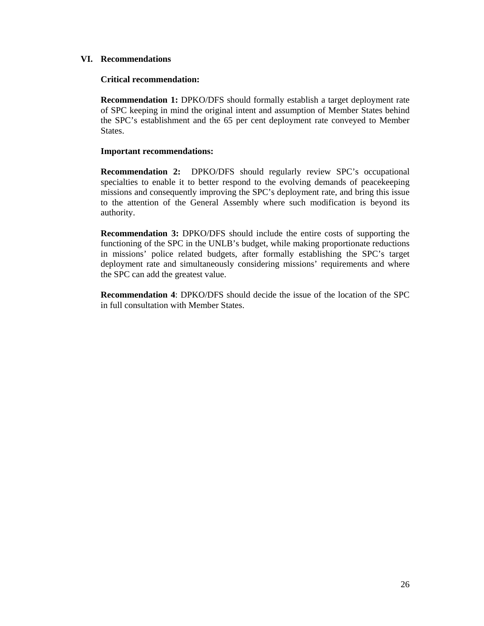#### **VI. Recommendations**

#### **Critical recommendation:**

**Recommendation 1:** DPKO/DFS should formally establish a target deployment rate of SPC keeping in mind the original intent and assumption of Member States behind the SPC's establishment and the 65 per cent deployment rate conveyed to Member States.

#### **Important recommendations:**

**Recommendation 2:** DPKO/DFS should regularly review SPC's occupational specialties to enable it to better respond to the evolving demands of peacekeeping missions and consequently improving the SPC's deployment rate, and bring this issue to the attention of the General Assembly where such modification is beyond its authority.

**Recommendation 3:** DPKO/DFS should include the entire costs of supporting the functioning of the SPC in the UNLB's budget, while making proportionate reductions in missions' police related budgets, after formally establishing the SPC's target deployment rate and simultaneously considering missions' requirements and where the SPC can add the greatest value.

**Recommendation 4**: DPKO/DFS should decide the issue of the location of the SPC in full consultation with Member States.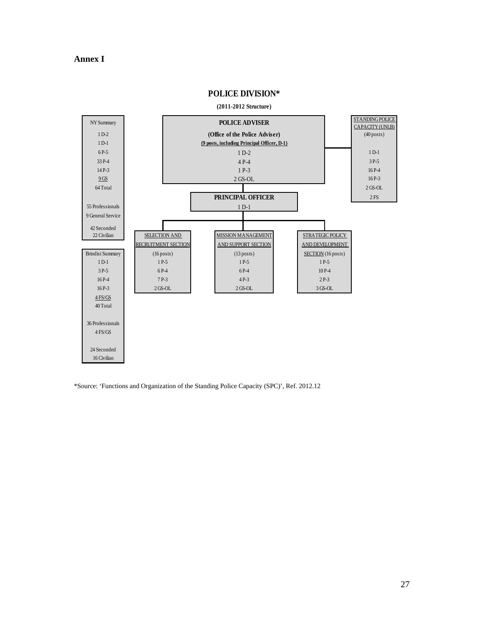#### **Annex I**



**POLICE DIVISION\***

\*Source: 'Functions and Organization of the Standing Police Capacity (SPC)', Ref. 2012.12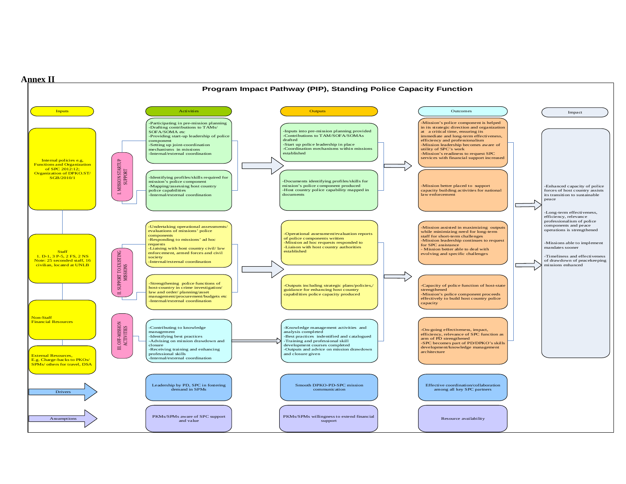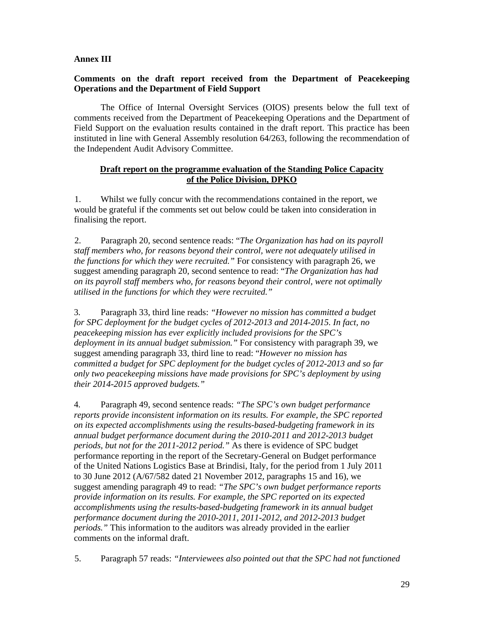#### **Annex III**

#### **Comments on the draft report received from the Department of Peacekeeping Operations and the Department of Field Support**

The Office of Internal Oversight Services (OIOS) presents below the full text of comments received from the Department of Peacekeeping Operations and the Department of Field Support on the evaluation results contained in the draft report. This practice has been instituted in line with General Assembly resolution 64/263, following the recommendation of the Independent Audit Advisory Committee.

#### **Draft report on the programme evaluation of the Standing Police Capacity of the Police Division, DPKO**

1. Whilst we fully concur with the recommendations contained in the report, we would be grateful if the comments set out below could be taken into consideration in finalising the report.

2. Paragraph 20, second sentence reads: "*The Organization has had on its payroll staff members who, for reasons beyond their control, were not adequately utilised in the functions for which they were recruited."* For consistency with paragraph 26, we suggest amending paragraph 20, second sentence to read: "*The Organization has had on its payroll staff members who, for reasons beyond their control, were not optimally utilised in the functions for which they were recruited."*

3. Paragraph 33, third line reads: *"However no mission has committed a budget for SPC deployment for the budget cycles of 2012-2013 and 2014-2015. In fact, no peacekeeping mission has ever explicitly included provisions for the SPC's deployment in its annual budget submission."* For consistency with paragraph 39, we suggest amending paragraph 33, third line to read: "*However no mission has committed a budget for SPC deployment for the budget cycles of 2012-2013 and so far only two peacekeeping missions have made provisions for SPC's deployment by using their 2014-2015 approved budgets."*

4. Paragraph 49, second sentence reads: *"The SPC's own budget performance reports provide inconsistent information on its results. For example, the SPC reported on its expected accomplishments using the results-based-budgeting framework in its annual budget performance document during the 2010-2011 and 2012-2013 budget periods, but not for the 2011-2012 period."* As there is evidence of SPC budget performance reporting in the report of the Secretary-General on Budget performance of the United Nations Logistics Base at Brindisi, Italy, for the period from 1 July 2011 to 30 June 2012 (A/67/582 dated 21 November 2012, paragraphs 15 and 16), we suggest amending paragraph 49 to read: *"The SPC's own budget performance reports provide information on its results. For example, the SPC reported on its expected accomplishments using the results-based-budgeting framework in its annual budget performance document during the 2010-2011, 2011-2012, and 2012-2013 budget periods."* This information to the auditors was already provided in the earlier comments on the informal draft.

5. Paragraph 57 reads: *"Interviewees also pointed out that the SPC had not functioned*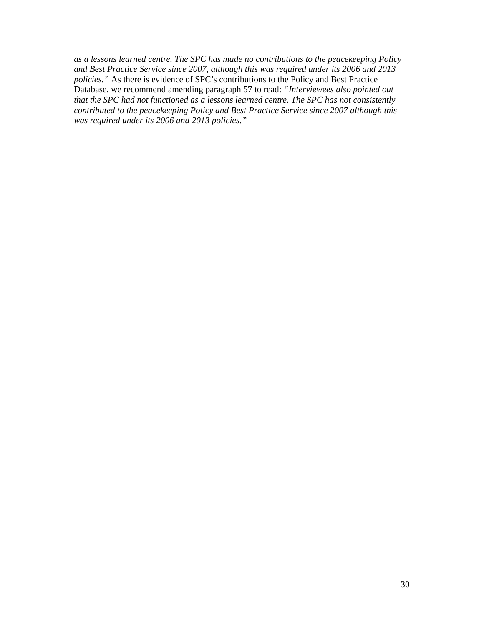*as a lessons learned centre. The SPC has made no contributions to the peacekeeping Policy and Best Practice Service since 2007, although this was required under its 2006 and 2013 policies."* As there is evidence of SPC's contributions to the Policy and Best Practice Database, we recommend amending paragraph 57 to read: *"Interviewees also pointed out that the SPC had not functioned as a lessons learned centre. The SPC has not consistently contributed to the peacekeeping Policy and Best Practice Service since 2007 although this was required under its 2006 and 2013 policies."*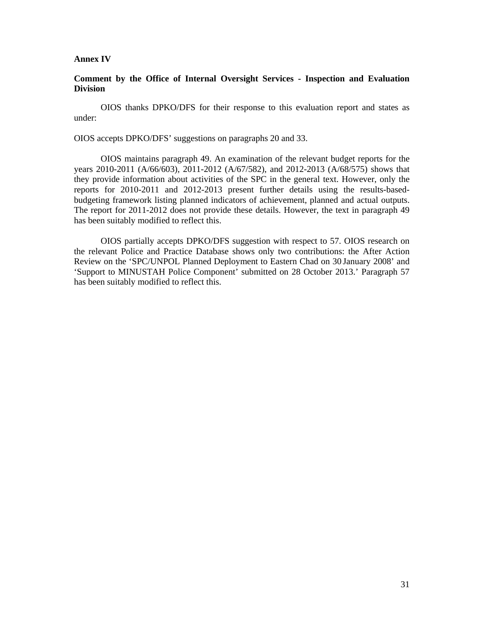#### **Annex IV**

#### **Comment by the Office of Internal Oversight Services - Inspection and Evaluation Division**

OIOS thanks DPKO/DFS for their response to this evaluation report and states as under:

OIOS accepts DPKO/DFS' suggestions on paragraphs 20 and 33.

OIOS maintains paragraph 49. An examination of the relevant budget reports for the years 2010-2011 (A/66/603), 2011-2012 (A/67/582), and 2012-2013 (A/68/575) shows that they provide information about activities of the SPC in the general text. However, only the reports for 2010-2011 and 2012-2013 present further details using the results-basedbudgeting framework listing planned indicators of achievement, planned and actual outputs. The report for 2011-2012 does not provide these details. However, the text in paragraph 49 has been suitably modified to reflect this.

OIOS partially accepts DPKO/DFS suggestion with respect to 57. OIOS research on the relevant Police and Practice Database shows only two contributions: the After Action Review on the 'SPC/UNPOL Planned Deployment to Eastern Chad on 30 January 2008' and 'Support to MINUSTAH Police Component' submitted on 28 October 2013.' Paragraph 57 has been suitably modified to reflect this.